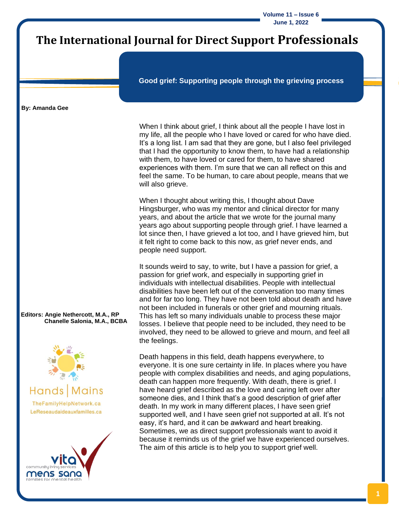**Volume 11 – Issue 6 June 1, 2022**

## **The International Journal for Direct Support Professionals**

**Good grief: Supporting people through the grieving process**

#### **By: Amanda Gee**

When I think about grief, I think about all the people I have lost in my life, all the people who I have loved or cared for who have died. It's a long list. I am sad that they are gone, but I also feel privileged that I had the opportunity to know them, to have had a relationship with them, to have loved or cared for them, to have shared experiences with them. I'm sure that we can all reflect on this and feel the same. To be human, to care about people, means that we will also grieve.

When I thought about writing this, I thought about Dave Hingsburger, who was my mentor and clinical director for many years, and about the article that we wrote for the journal many years ago about supporting people through grief. I have learned a lot since then, I have grieved a lot too, and I have grieved him, but it felt right to come back to this now, as grief never ends, and people need support.

It sounds weird to say, to write, but I have a passion for grief, a passion for grief work, and especially in supporting grief in individuals with intellectual disabilities. People with intellectual disabilities have been left out of the conversation too many times and for far too long. They have not been told about death and have not been included in funerals or other grief and mourning rituals. This has left so many individuals unable to process these major losses. I believe that people need to be included, they need to be involved, they need to be allowed to grieve and mourn, and feel all the feelings.

Death happens in this field, death happens everywhere, to everyone. It is one sure certainty in life. In places where you have people with complex disabilities and needs, and aging populations, death can happen more frequently. With death, there is grief. I have heard grief described as the love and caring left over after someone dies, and I think that's a good description of grief after death. In my work in many different places, I have seen grief supported well, and I have seen grief not supported at all. It's not easy, it's hard, and it can be awkward and heart breaking. Sometimes, we as direct support professionals want to avoid it because it reminds us of the grief we have experienced ourselves. The aim of this article is to help you to support grief well.

**Editors: Angie Nethercott, M.A., RP Chanelle Salonia, M.A., BCBA**



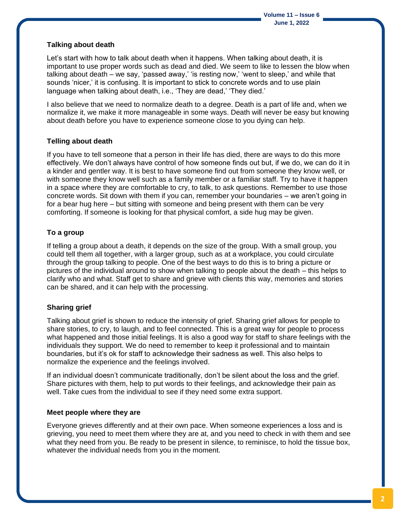#### **Talking about death**

Let's start with how to talk about death when it happens. When talking about death, it is important to use proper words such as dead and died. We seem to like to lessen the blow when talking about death – we say, 'passed away,' 'is resting now,' 'went to sleep,' and while that sounds 'nicer,' it is confusing. It is important to stick to concrete words and to use plain language when talking about death, i.e., 'They are dead,' 'They died.'

I also believe that we need to normalize death to a degree. Death is a part of life and, when we normalize it, we make it more manageable in some ways. Death will never be easy but knowing about death before you have to experience someone close to you dying can help.

#### **Telling about death**

If you have to tell someone that a person in their life has died, there are ways to do this more effectively. We don't always have control of how someone finds out but, if we do, we can do it in a kinder and gentler way. It is best to have someone find out from someone they know well, or with someone they know well such as a family member or a familiar staff. Try to have it happen in a space where they are comfortable to cry, to talk, to ask questions. Remember to use those concrete words. Sit down with them if you can, remember your boundaries – we aren't going in for a bear hug here – but sitting with someone and being present with them can be very comforting. If someone is looking for that physical comfort, a side hug may be given.

### **To a group**

If telling a group about a death, it depends on the size of the group. With a small group, you could tell them all together, with a larger group, such as at a workplace, you could circulate through the group talking to people. One of the best ways to do this is to bring a picture or pictures of the individual around to show when talking to people about the death – this helps to clarify who and what. Staff get to share and grieve with clients this way, memories and stories can be shared, and it can help with the processing.

### **Sharing grief**

Talking about grief is shown to reduce the intensity of grief. Sharing grief allows for people to share stories, to cry, to laugh, and to feel connected. This is a great way for people to process what happened and those initial feelings. It is also a good way for staff to share feelings with the individuals they support. We do need to remember to keep it professional and to maintain boundaries, but it's ok for staff to acknowledge their sadness as well. This also helps to normalize the experience and the feelings involved.

If an individual doesn't communicate traditionally, don't be silent about the loss and the grief. Share pictures with them, help to put words to their feelings, and acknowledge their pain as well. Take cues from the individual to see if they need some extra support.

#### **Meet people where they are**

Everyone grieves differently and at their own pace. When someone experiences a loss and is grieving, you need to meet them where they are at, and you need to check in with them and see what they need from you. Be ready to be present in silence, to reminisce, to hold the tissue box, whatever the individual needs from you in the moment.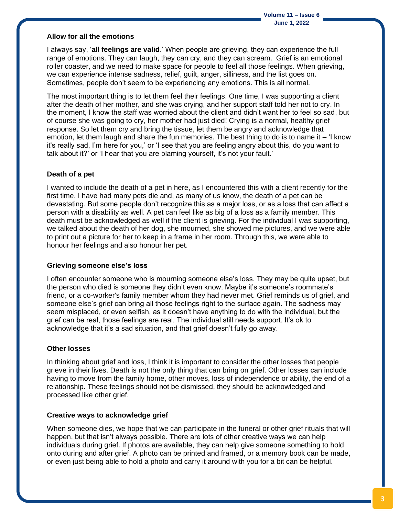#### **Allow for all the emotions**

I always say, '**all feelings are valid**.' When people are grieving, they can experience the full range of emotions. They can laugh, they can cry, and they can scream. Grief is an emotional roller coaster, and we need to make space for people to feel all those feelings. When grieving, we can experience intense sadness, relief, guilt, anger, silliness, and the list goes on. Sometimes, people don't seem to be experiencing any emotions. This is all normal.

The most important thing is to let them feel their feelings. One time, I was supporting a client after the death of her mother, and she was crying, and her support staff told her not to cry. In the moment, I know the staff was worried about the client and didn't want her to feel so sad, but of course she was going to cry, her mother had just died! Crying is a normal, healthy grief response. So let them cry and bring the tissue, let them be angry and acknowledge that emotion, let them laugh and share the fun memories. The best thing to do is to name it – 'I know it's really sad, I'm here for you,' or 'I see that you are feeling angry about this, do you want to talk about it?' or 'I hear that you are blaming yourself, it's not your fault.'

#### **Death of a pet**

I wanted to include the death of a pet in here, as I encountered this with a client recently for the first time. I have had many pets die and, as many of us know, the death of a pet can be devastating. But some people don't recognize this as a major loss, or as a loss that can affect a person with a disability as well. A pet can feel like as big of a loss as a family member. This death must be acknowledged as well if the client is grieving. For the individual I was supporting, we talked about the death of her dog, she mourned, she showed me pictures, and we were able to print out a picture for her to keep in a frame in her room. Through this, we were able to honour her feelings and also honour her pet.

#### **Grieving someone else's loss**

I often encounter someone who is mourning someone else's loss. They may be quite upset, but the person who died is someone they didn't even know. Maybe it's someone's roommate's friend, or a co-worker's family member whom they had never met. Grief reminds us of grief, and someone else's grief can bring all those feelings right to the surface again. The sadness may seem misplaced, or even selfish, as it doesn't have anything to do with the individual, but the grief can be real, those feelings are real. The individual still needs support. It's ok to acknowledge that it's a sad situation, and that grief doesn't fully go away.

#### **Other losses**

In thinking about grief and loss, I think it is important to consider the other losses that people grieve in their lives. Death is not the only thing that can bring on grief. Other losses can include having to move from the family home, other moves, loss of independence or ability, the end of a relationship. These feelings should not be dismissed, they should be acknowledged and processed like other grief.

#### **Creative ways to acknowledge grief**

When someone dies, we hope that we can participate in the funeral or other grief rituals that will happen, but that isn't always possible. There are lots of other creative ways we can help individuals during grief. If photos are available, they can help give someone something to hold onto during and after grief. A photo can be printed and framed, or a memory book can be made, or even just being able to hold a photo and carry it around with you for a bit can be helpful.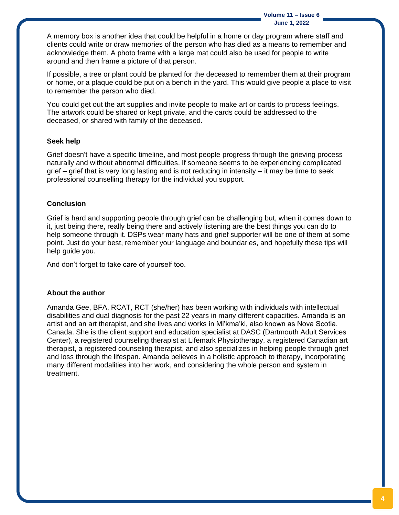**Volume 11 – Issue 6 June 1, 2022**

A memory box is another idea that could be helpful in a home or day program where staff and clients could write or draw memories of the person who has died as a means to remember and acknowledge them. A photo frame with a large mat could also be used for people to write around and then frame a picture of that person.

If possible, a tree or plant could be planted for the deceased to remember them at their program or home, or a plaque could be put on a bench in the yard. This would give people a place to visit to remember the person who died.

You could get out the art supplies and invite people to make art or cards to process feelings. The artwork could be shared or kept private, and the cards could be addressed to the deceased, or shared with family of the deceased.

#### **Seek help**

Grief doesn't have a specific timeline, and most people progress through the grieving process naturally and without abnormal difficulties. If someone seems to be experiencing complicated grief – grief that is very long lasting and is not reducing in intensity – it may be time to seek professional counselling therapy for the individual you support.

#### **Conclusion**

Grief is hard and supporting people through grief can be challenging but, when it comes down to it, just being there, really being there and actively listening are the best things you can do to help someone through it. DSPs wear many hats and grief supporter will be one of them at some point. Just do your best, remember your language and boundaries, and hopefully these tips will help guide you.

And don't forget to take care of yourself too.

#### **About the author**

Amanda Gee, BFA, RCAT, RCT (she/her) has been working with individuals with intellectual disabilities and dual diagnosis for the past 22 years in many different capacities. Amanda is an artist and an art therapist, and she lives and works in Mi'kma'ki, also known as Nova Scotia, Canada. She is the client support and education specialist at DASC (Dartmouth Adult Services Center), a registered counseling therapist at Lifemark Physiotherapy, a registered Canadian art therapist, a registered counseling therapist, and also specializes in helping people through grief and loss through the lifespan. Amanda believes in a holistic approach to therapy, incorporating many different modalities into her work, and considering the whole person and system in treatment.